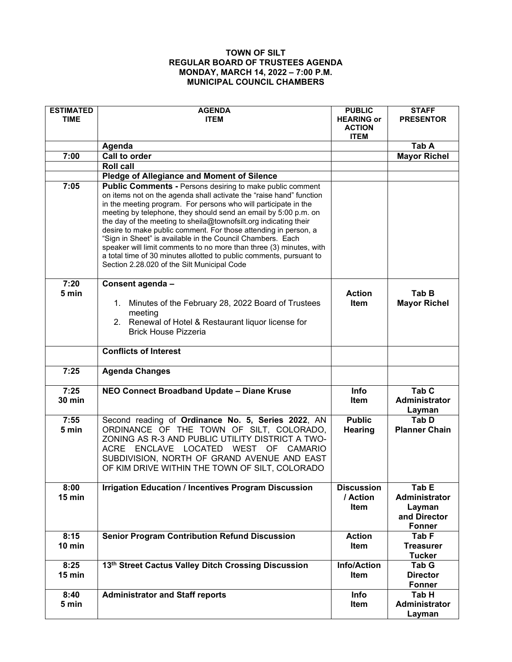## **TOWN OF SILT REGULAR BOARD OF TRUSTEES AGENDA MONDAY, MARCH 14, 2022 – 7:00 P.M. MUNICIPAL COUNCIL CHAMBERS**

| <b>ESTIMATED</b><br><b>TIME</b> | <b>AGENDA</b><br><b>ITEM</b>                                                                                                                                                                                                                                                                                                                                                                                                                                                                                                                                                                                                                                                    | <b>PUBLIC</b><br><b>HEARING or</b><br><b>ACTION</b> | <b>STAFF</b><br><b>PRESENTOR</b>                                |
|---------------------------------|---------------------------------------------------------------------------------------------------------------------------------------------------------------------------------------------------------------------------------------------------------------------------------------------------------------------------------------------------------------------------------------------------------------------------------------------------------------------------------------------------------------------------------------------------------------------------------------------------------------------------------------------------------------------------------|-----------------------------------------------------|-----------------------------------------------------------------|
|                                 |                                                                                                                                                                                                                                                                                                                                                                                                                                                                                                                                                                                                                                                                                 | <b>ITEM</b>                                         |                                                                 |
| 7:00                            | Agenda<br><b>Call to order</b>                                                                                                                                                                                                                                                                                                                                                                                                                                                                                                                                                                                                                                                  |                                                     | Tab A                                                           |
|                                 | <b>Roll call</b>                                                                                                                                                                                                                                                                                                                                                                                                                                                                                                                                                                                                                                                                |                                                     | <b>Mayor Richel</b>                                             |
|                                 |                                                                                                                                                                                                                                                                                                                                                                                                                                                                                                                                                                                                                                                                                 |                                                     |                                                                 |
| 7:05                            | <b>Pledge of Allegiance and Moment of Silence</b>                                                                                                                                                                                                                                                                                                                                                                                                                                                                                                                                                                                                                               |                                                     |                                                                 |
|                                 | <b>Public Comments - Persons desiring to make public comment</b><br>on items not on the agenda shall activate the "raise hand" function<br>in the meeting program. For persons who will participate in the<br>meeting by telephone, they should send an email by 5:00 p.m. on<br>the day of the meeting to sheila@townofsilt.org indicating their<br>desire to make public comment. For those attending in person, a<br>"Sign in Sheet" is available in the Council Chambers. Each<br>speaker will limit comments to no more than three (3) minutes, with<br>a total time of 30 minutes allotted to public comments, pursuant to<br>Section 2.28.020 of the Silt Municipal Code |                                                     |                                                                 |
| 7:20                            | Consent agenda -                                                                                                                                                                                                                                                                                                                                                                                                                                                                                                                                                                                                                                                                |                                                     |                                                                 |
| 5 min                           | Minutes of the February 28, 2022 Board of Trustees<br>1.<br>meeting<br>2. Renewal of Hotel & Restaurant liquor license for<br><b>Brick House Pizzeria</b>                                                                                                                                                                                                                                                                                                                                                                                                                                                                                                                       | <b>Action</b><br>Item                               | Tab B<br><b>Mayor Richel</b>                                    |
|                                 | <b>Conflicts of Interest</b>                                                                                                                                                                                                                                                                                                                                                                                                                                                                                                                                                                                                                                                    |                                                     |                                                                 |
| 7:25                            | <b>Agenda Changes</b>                                                                                                                                                                                                                                                                                                                                                                                                                                                                                                                                                                                                                                                           |                                                     |                                                                 |
| 7:25<br><b>30 min</b>           | NEO Connect Broadband Update - Diane Kruse                                                                                                                                                                                                                                                                                                                                                                                                                                                                                                                                                                                                                                      | Info<br>Item                                        | Tab <sub>C</sub><br><b>Administrator</b><br>Layman              |
| 7:55<br>5 min                   | Second reading of Ordinance No. 5, Series 2022, AN<br>ORDINANCE OF THE TOWN OF SILT, COLORADO,<br>ZONING AS R-3 AND PUBLIC UTILITY DISTRICT A TWO-<br>ACRE ENCLAVE LOCATED WEST OF CAMARIO<br>SUBDIVISION, NORTH OF GRAND AVENUE AND EAST<br>OF KIM DRIVE WITHIN THE TOWN OF SILT, COLORADO                                                                                                                                                                                                                                                                                                                                                                                     | <b>Public</b><br>Hearing                            | Tab D<br><b>Planner Chain</b>                                   |
| 8:00                            | <b>Irrigation Education / Incentives Program Discussion</b>                                                                                                                                                                                                                                                                                                                                                                                                                                                                                                                                                                                                                     | <b>Discussion</b>                                   | Tab E                                                           |
| 15 min                          |                                                                                                                                                                                                                                                                                                                                                                                                                                                                                                                                                                                                                                                                                 | / Action<br>Item                                    | <b>Administrator</b><br>Layman<br>and Director<br><b>Fonner</b> |
| 8:15                            | <b>Senior Program Contribution Refund Discussion</b>                                                                                                                                                                                                                                                                                                                                                                                                                                                                                                                                                                                                                            | <b>Action</b>                                       | Tab <sub>F</sub>                                                |
| 10 min                          |                                                                                                                                                                                                                                                                                                                                                                                                                                                                                                                                                                                                                                                                                 | <b>Item</b>                                         | <b>Treasurer</b><br><b>Tucker</b>                               |
| 8:25                            | 13th Street Cactus Valley Ditch Crossing Discussion                                                                                                                                                                                                                                                                                                                                                                                                                                                                                                                                                                                                                             | <b>Info/Action</b>                                  | Tab G                                                           |
| 15 min                          |                                                                                                                                                                                                                                                                                                                                                                                                                                                                                                                                                                                                                                                                                 | Item                                                | <b>Director</b>                                                 |
|                                 |                                                                                                                                                                                                                                                                                                                                                                                                                                                                                                                                                                                                                                                                                 |                                                     | <b>Fonner</b>                                                   |
| 8:40                            | <b>Administrator and Staff reports</b>                                                                                                                                                                                                                                                                                                                                                                                                                                                                                                                                                                                                                                          | Info                                                | Tab H                                                           |
| 5 min                           |                                                                                                                                                                                                                                                                                                                                                                                                                                                                                                                                                                                                                                                                                 | Item                                                | Administrator                                                   |
|                                 |                                                                                                                                                                                                                                                                                                                                                                                                                                                                                                                                                                                                                                                                                 |                                                     | Layman                                                          |